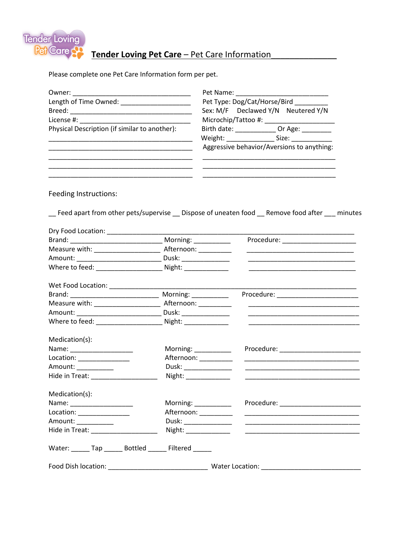

## Tender Loving Pet Care - Pet Care Information

Please complete one Pet Care Information form per pet.

| Owner: 2000                                                |                       | Pet Name: 1997                                                                                                                        |
|------------------------------------------------------------|-----------------------|---------------------------------------------------------------------------------------------------------------------------------------|
| Length of Time Owned: _______________________              |                       | Pet Type: Dog/Cat/Horse/Bird _______                                                                                                  |
|                                                            |                       | Sex: M/F Declawed Y/N Neutered Y/N                                                                                                    |
|                                                            |                       |                                                                                                                                       |
| Physical Description (if similar to another):              |                       | Birth date: ________________ Or Age: _________                                                                                        |
|                                                            |                       |                                                                                                                                       |
|                                                            |                       | Aggressive behavior/Aversions to anything:                                                                                            |
| Feeding Instructions:                                      |                       |                                                                                                                                       |
|                                                            |                       | __ Feed apart from other pets/supervise __ Dispose of uneaten food __ Remove food after ___ minutes                                   |
| Dry Food Location: ______________                          |                       |                                                                                                                                       |
|                                                            |                       | Procedure: _______________________                                                                                                    |
|                                                            |                       | <u> 2002 - Jan James James Jan James James James James James James James James James James James James James Jam</u>                  |
|                                                            |                       |                                                                                                                                       |
|                                                            |                       | <u> 2002 - Johann John Stone, Amerikaansk politiker (</u>                                                                             |
| Wet Food Location: ______________                          |                       |                                                                                                                                       |
|                                                            | Morning: _________    |                                                                                                                                       |
| Measure with: ______________________                       | Afternoon: __________ | <u> Alexandria de la contrada de la contrada de la contrada de la contrada de la contrada de la contrada de la c</u>                  |
|                                                            |                       |                                                                                                                                       |
| Where to feed: Night:                                      |                       |                                                                                                                                       |
| Medication(s):                                             |                       |                                                                                                                                       |
|                                                            |                       | Procedure: __________________________<br>Morning: $\frac{1}{\sqrt{1-\frac{1}{2}}\cdot\frac{1}{\sqrt{1-\frac{1}{2}}\cdot\frac{1}{2}}}$ |
| Location: ________________                                 |                       | Afternoon: ________                                                                                                                   |
| Amount: ___________                                        |                       | Dusk: ______________                                                                                                                  |
| Hide in Treat: _______________                             |                       | Night: _____________                                                                                                                  |
| Medication(s):                                             |                       |                                                                                                                                       |
|                                                            |                       | Morning: __________                                                                                                                   |
| Location: _______________                                  |                       | Afternoon: _________                                                                                                                  |
| Amount: ___________                                        |                       | Dusk: _________________<br><u> 1989 - Johann Barn, amerikansk politiker (</u> † 1908)                                                 |
| Hide in Treat: _____________________                       |                       | Night: ________________                                                                                                               |
| Water: _______ Tap _______ Bottled _______ Filtered ______ |                       |                                                                                                                                       |
|                                                            |                       |                                                                                                                                       |